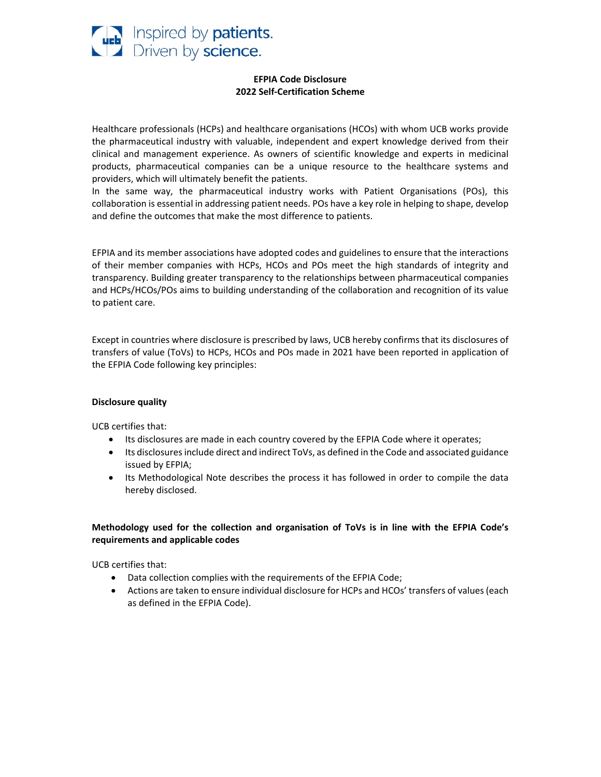

### **EFPIA Code Disclosure 2022 Self‐Certification Scheme**

Healthcare professionals (HCPs) and healthcare organisations (HCOs) with whom UCB works provide the pharmaceutical industry with valuable, independent and expert knowledge derived from their clinical and management experience. As owners of scientific knowledge and experts in medicinal products, pharmaceutical companies can be a unique resource to the healthcare systems and providers, which will ultimately benefit the patients.

In the same way, the pharmaceutical industry works with Patient Organisations (POs), this collaboration is essential in addressing patient needs. POs have a key role in helping to shape, develop and define the outcomes that make the most difference to patients.

EFPIA and its member associations have adopted codes and guidelines to ensure that the interactions of their member companies with HCPs, HCOs and POs meet the high standards of integrity and transparency. Building greater transparency to the relationships between pharmaceutical companies and HCPs/HCOs/POs aims to building understanding of the collaboration and recognition of its value to patient care.

Except in countries where disclosure is prescribed by laws, UCB hereby confirms that its disclosures of transfers of value (ToVs) to HCPs, HCOs and POs made in 2021 have been reported in application of the EFPIA Code following key principles:

#### **Disclosure quality**

UCB certifies that:

- Its disclosures are made in each country covered by the EFPIA Code where it operates;
- Its disclosures include direct and indirect ToVs, as defined in the Code and associated guidance issued by EFPIA;
- Its Methodological Note describes the process it has followed in order to compile the data hereby disclosed.

# **Methodology used for the collection and organisation of ToVs is in line with the EFPIA Code's requirements and applicable codes**

UCB certifies that:

- Data collection complies with the requirements of the EFPIA Code;
- Actions are taken to ensure individual disclosure for HCPs and HCOs' transfers of values(each as defined in the EFPIA Code).